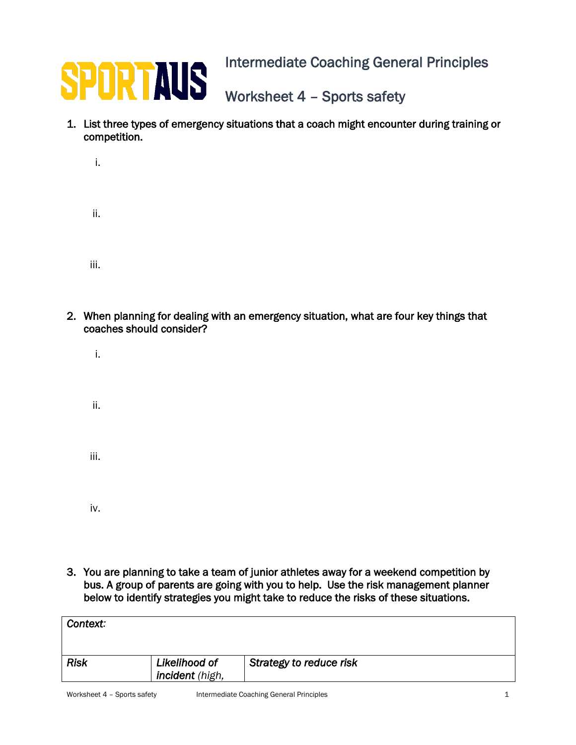

Intermediate Coaching General Principles

Worksheet 4 – Sports safety

1. List three types of emergency situations that a coach might encounter during training or competition.

| i.   |  |  |  |
|------|--|--|--|
| ii.  |  |  |  |
| iii. |  |  |  |

- 2. When planning for dealing with an emergency situation, what are four key things that coaches should consider?
	- i.
	- ii.
	- iii.
	-
	- iv.
- 3. You are planning to take a team of junior athletes away for a weekend competition by bus. A group of parents are going with you to help. Use the risk management planner below to identify strategies you might take to reduce the risks of these situations.

| Context:    |                                  |                         |
|-------------|----------------------------------|-------------------------|
| <b>Risk</b> | Likelihood of<br>incident (high, | Strategy to reduce risk |
|             |                                  |                         |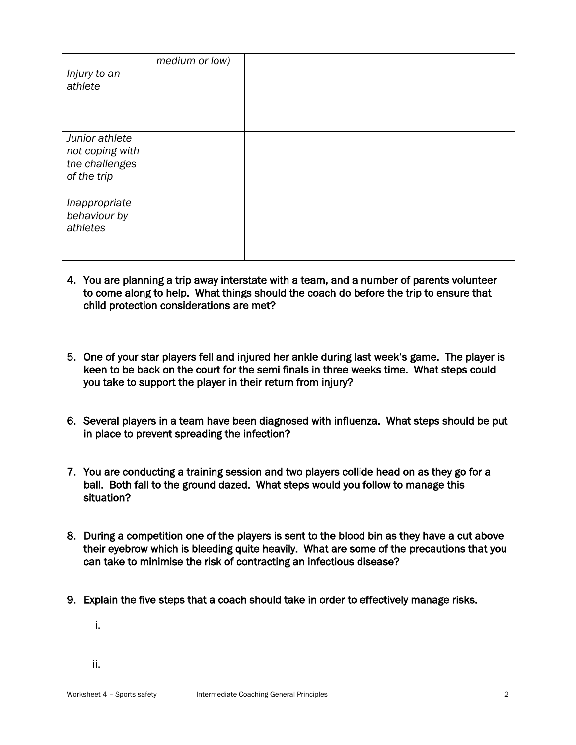|                                                                    | medium or low) |  |
|--------------------------------------------------------------------|----------------|--|
| Injury to an<br>athlete                                            |                |  |
| Junior athlete<br>not coping with<br>the challenges<br>of the trip |                |  |
| Inappropriate<br>behaviour by<br>athletes                          |                |  |

- 4. You are planning a trip away interstate with a team, and a number of parents volunteer to come along to help. What things should the coach do before the trip to ensure that child protection considerations are met?
- 5. One of your star players fell and injured her ankle during last week's game. The player is keen to be back on the court for the semi finals in three weeks time. What steps could you take to support the player in their return from injury?
- 6. Several players in a team have been diagnosed with influenza. What steps should be put in place to prevent spreading the infection?
- 7. You are conducting a training session and two players collide head on as they go for a ball. Both fall to the ground dazed. What steps would you follow to manage this situation?
- 8. During a competition one of the players is sent to the blood bin as they have a cut above their eyebrow which is bleeding quite heavily. What are some of the precautions that you can take to minimise the risk of contracting an infectious disease?
- 9. Explain the five steps that a coach should take in order to effectively manage risks.

i.

ii.